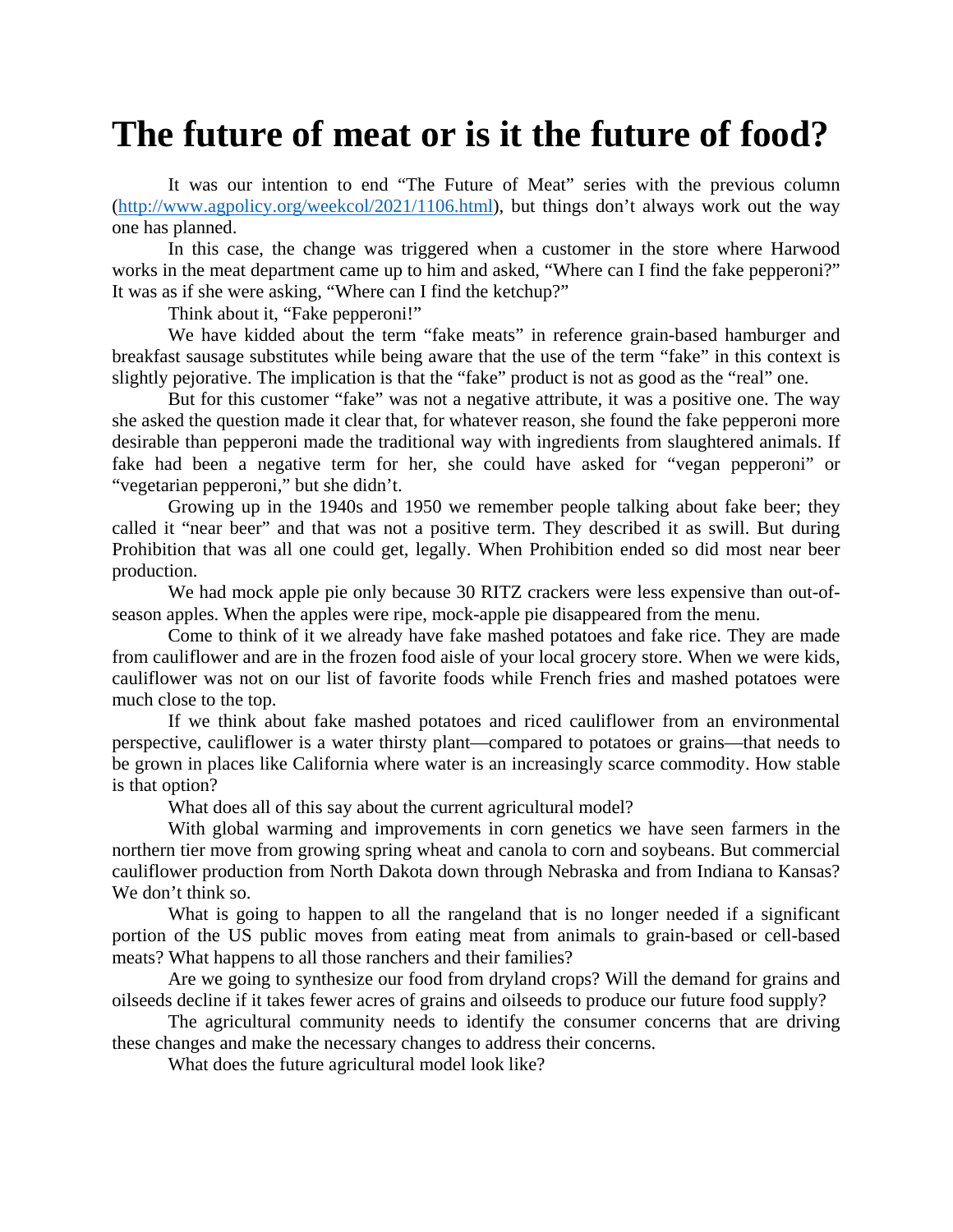## **The future of meat or is it the future of food?**

It was our intention to end "The Future of Meat" series with the previous column [\(http://www.agpolicy.org/weekcol/2021/1106.html\)](http://www.agpolicy.org/weekcol/2021/1106.html), but things don't always work out the way one has planned.

In this case, the change was triggered when a customer in the store where Harwood works in the meat department came up to him and asked, "Where can I find the fake pepperoni?" It was as if she were asking, "Where can I find the ketchup?"

Think about it, "Fake pepperoni!"

We have kidded about the term "fake meats" in reference grain-based hamburger and breakfast sausage substitutes while being aware that the use of the term "fake" in this context is slightly pejorative. The implication is that the "fake" product is not as good as the "real" one.

But for this customer "fake" was not a negative attribute, it was a positive one. The way she asked the question made it clear that, for whatever reason, she found the fake pepperoni more desirable than pepperoni made the traditional way with ingredients from slaughtered animals. If fake had been a negative term for her, she could have asked for "vegan pepperoni" or "vegetarian pepperoni," but she didn't.

Growing up in the 1940s and 1950 we remember people talking about fake beer; they called it "near beer" and that was not a positive term. They described it as swill. But during Prohibition that was all one could get, legally. When Prohibition ended so did most near beer production.

We had mock apple pie only because 30 RITZ crackers were less expensive than out-ofseason apples. When the apples were ripe, mock-apple pie disappeared from the menu.

Come to think of it we already have fake mashed potatoes and fake rice. They are made from cauliflower and are in the frozen food aisle of your local grocery store. When we were kids, cauliflower was not on our list of favorite foods while French fries and mashed potatoes were much close to the top.

If we think about fake mashed potatoes and riced cauliflower from an environmental perspective, cauliflower is a water thirsty plant—compared to potatoes or grains—that needs to be grown in places like California where water is an increasingly scarce commodity. How stable is that option?

What does all of this say about the current agricultural model?

With global warming and improvements in corn genetics we have seen farmers in the northern tier move from growing spring wheat and canola to corn and soybeans. But commercial cauliflower production from North Dakota down through Nebraska and from Indiana to Kansas? We don't think so.

What is going to happen to all the rangeland that is no longer needed if a significant portion of the US public moves from eating meat from animals to grain-based or cell-based meats? What happens to all those ranchers and their families?

Are we going to synthesize our food from dryland crops? Will the demand for grains and oilseeds decline if it takes fewer acres of grains and oilseeds to produce our future food supply?

The agricultural community needs to identify the consumer concerns that are driving these changes and make the necessary changes to address their concerns.

What does the future agricultural model look like?